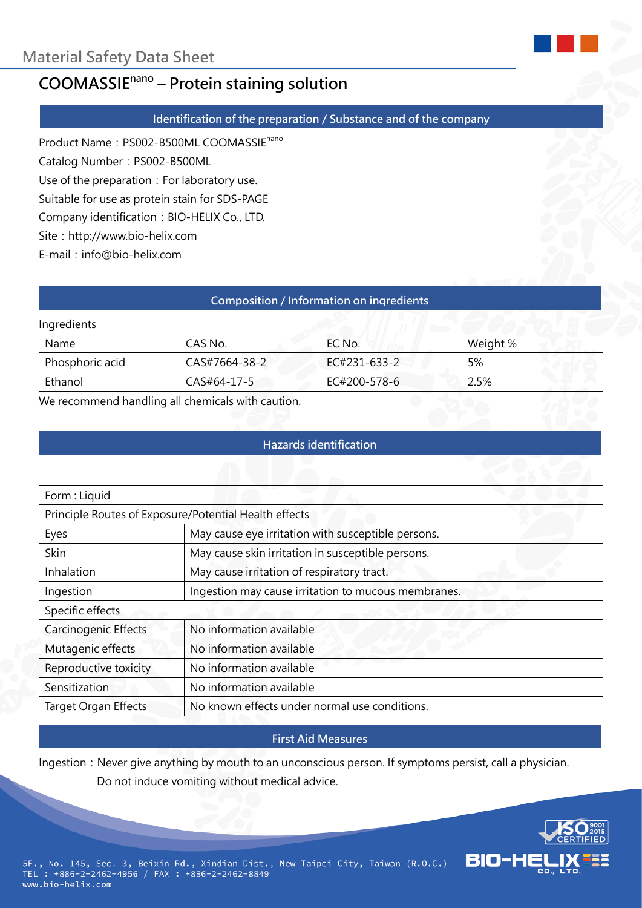

#### **Identification of the preparation / Substance and of the company**

Product Name: PS002-B500ML COOMASSIE<sup>nano</sup>

Catalog Number: PS002-B500ML

Use of the preparation: For laboratory use.

Suitable for use as protein stain for SDS-PAGE

Company identification: BIO-HELIX Co., LTD.

Site: http://www.bio-helix.com

E-mail:info@bio-helix.com

#### **Composition / Information on ingredients**

#### Ingredients

| Name            | CAS No.       | EC No.       | Weight % |
|-----------------|---------------|--------------|----------|
| Phosphoric acid | CAS#7664-38-2 | EC#231-633-2 | 5%       |
| Ethanol         | CAS#64-17-5   | EC#200-578-6 | 2.5%     |

We recommend handling all chemicals with caution.

## **Hazards identification**

| Form: Liquid                                          |                                                     |  |  |
|-------------------------------------------------------|-----------------------------------------------------|--|--|
| Principle Routes of Exposure/Potential Health effects |                                                     |  |  |
| Eyes                                                  | May cause eye irritation with susceptible persons.  |  |  |
| Skin                                                  | May cause skin irritation in susceptible persons.   |  |  |
| Inhalation                                            | May cause irritation of respiratory tract.          |  |  |
| Ingestion                                             | Ingestion may cause irritation to mucous membranes. |  |  |
| Specific effects                                      |                                                     |  |  |
| Carcinogenic Effects                                  | No information available                            |  |  |
| Mutagenic effects                                     | No information available                            |  |  |
| Reproductive toxicity                                 | No information available                            |  |  |
| Sensitization                                         | No information available                            |  |  |
| <b>Target Organ Effects</b>                           | No known effects under normal use conditions.       |  |  |

#### **First Aid Measures**

Ingestion: Never give anything by mouth to an unconscious person. If symptoms persist, call a physician. Do not induce vomiting without medical advice.



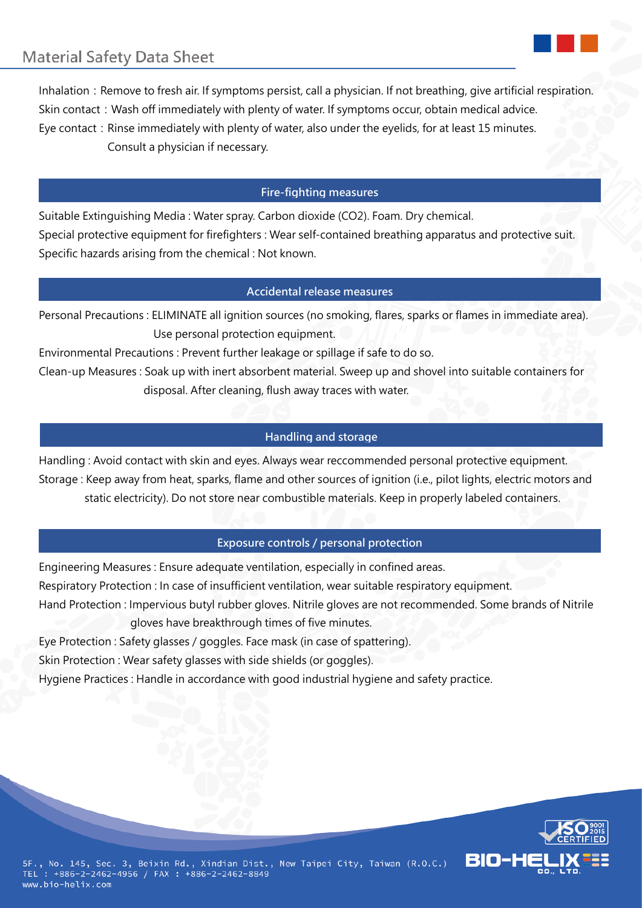Inhalation: Remove to fresh air. If symptoms persist, call a physician. If not breathing, give artificial respiration. Skin contact: Wash off immediately with plenty of water. If symptoms occur, obtain medical advice. Eye contact: Rinse immediately with plenty of water, also under the eyelids, for at least 15 minutes. Consult a physician if necessary.

# **Fire-fighting measures**

Suitable Extinguishing Media : Water spray. Carbon dioxide (CO2). Foam. Dry chemical. Special protective equipment for firefighters : Wear self-contained breathing apparatus and protective suit. Specific hazards arising from the chemical : Not known.

#### **Accidental release measures**

Personal Precautions : ELIMINATE all ignition sources (no smoking, flares, sparks or flames in immediate area). Use personal protection equipment.

Environmental Precautions : Prevent further leakage or spillage if safe to do so.

Clean-up Measures : Soak up with inert absorbent material. Sweep up and shovel into suitable containers for disposal. After cleaning, flush away traces with water.

## **Handling and storage**

Handling : Avoid contact with skin and eyes. Always wear reccommended personal protective equipment. Storage : Keep away from heat, sparks, flame and other sources of ignition (i.e., pilot lights, electric motors and static electricity). Do not store near combustible materials. Keep in properly labeled containers.

## **Exposure controls / personal protection**

Engineering Measures : Ensure adequate ventilation, especially in confined areas. Respiratory Protection : In case of insufficient ventilation, wear suitable respiratory equipment. Hand Protection : Impervious butyl rubber gloves. Nitrile gloves are not recommended. Some brands of Nitrile gloves have breakthrough times of five minutes.

Eye Protection : Safety glasses / goggles. Face mask (in case of spattering).

Skin Protection : Wear safety glasses with side shields (or goggles).

Hygiene Practices : Handle in accordance with good industrial hygiene and safety practice.

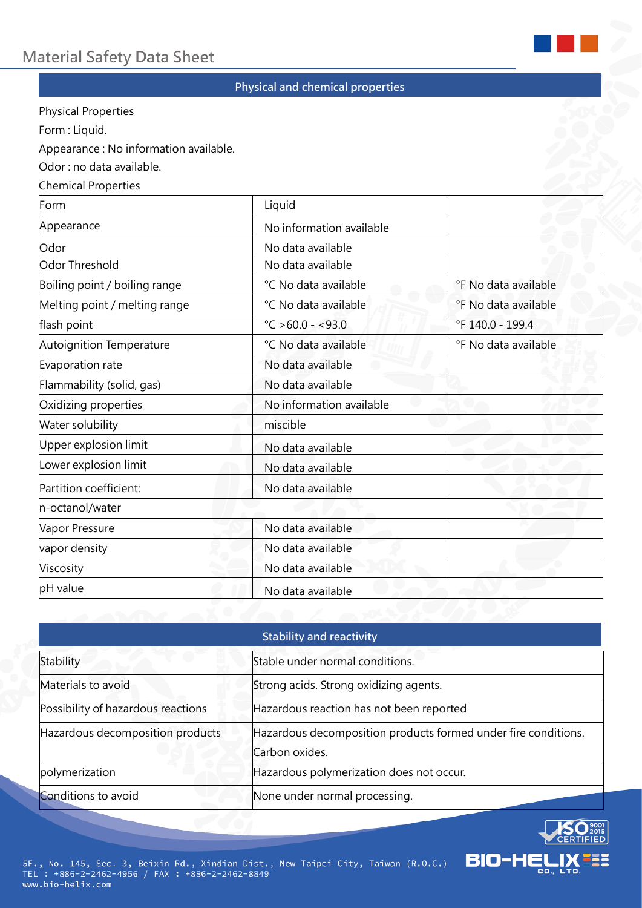

## **Physical and chemical properties**

Physical Properties

Form : Liquid.

Appearance : No information available.

Odor : no data available.

#### Chemical Properties

| Form                          | Liquid                      |                      |
|-------------------------------|-----------------------------|----------------------|
| Appearance                    | No information available    |                      |
| Odor                          | No data available           |                      |
| Odor Threshold                | No data available           |                      |
| Boiling point / boiling range | °C No data available        | °F No data available |
| Melting point / melting range | °C No data available        | °F No data available |
| flash point                   | $^{\circ}$ C > 60.0 - <93.0 | °F 140.0 - 199.4     |
| Autoignition Temperature      | °C No data available        | °F No data available |
| Evaporation rate              | No data available           |                      |
| Flammability (solid, gas)     | No data available           |                      |
| Oxidizing properties          | No information available    |                      |
| Water solubility              | miscible                    |                      |
| Upper explosion limit         | No data available           |                      |
| Lower explosion limit         | No data available           |                      |
| Partition coefficient:        | No data available           |                      |
| n-octanol/water               |                             |                      |
| Vapor Pressure                | No data available           |                      |
| vapor density                 | No data available           |                      |
| Viscosity                     | No data available           |                      |
| pH value                      | No data available           |                      |

| <b>Stability and reactivity</b>    |                                                                                  |  |  |
|------------------------------------|----------------------------------------------------------------------------------|--|--|
| Stability                          | Stable under normal conditions.                                                  |  |  |
| Materials to avoid                 | Strong acids. Strong oxidizing agents.                                           |  |  |
| Possibility of hazardous reactions | Hazardous reaction has not been reported                                         |  |  |
| Hazardous decomposition products   | Hazardous decomposition products formed under fire conditions.<br>Carbon oxides. |  |  |
| polymerization                     | Hazardous polymerization does not occur.                                         |  |  |
| Conditions to avoid                | None under normal processing.                                                    |  |  |

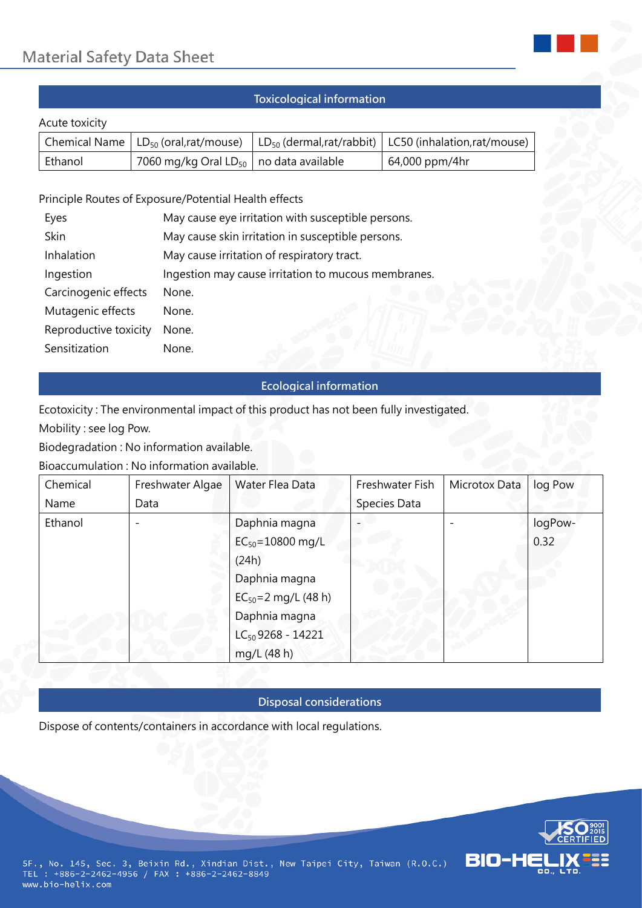

# **Toxicological information**

#### Acute toxicity

|         | Chemical Name $ LD_{50}$ (oral,rat/mouse)                  | $LD_{50}$ (dermal, rat/rabbit)   LC50 (inhalation, rat/mouse) |
|---------|------------------------------------------------------------|---------------------------------------------------------------|
| Ethanol | 7060 mg/kg Oral LD <sub>50</sub> $\vert$ no data available | 64,000 ppm/4hr                                                |

### Principle Routes of Exposure/Potential Health effects

| Eyes                  | May cause eye irritation with susceptible persons.  |  |  |
|-----------------------|-----------------------------------------------------|--|--|
| Skin                  | May cause skin irritation in susceptible persons.   |  |  |
| Inhalation            | May cause irritation of respiratory tract.          |  |  |
| Ingestion             | Ingestion may cause irritation to mucous membranes. |  |  |
| Carcinogenic effects  | None.                                               |  |  |
| Mutagenic effects     | None.                                               |  |  |
| Reproductive toxicity | None.                                               |  |  |
| Sensitization         | None.                                               |  |  |

#### **Ecological information**

Ecotoxicity : The environmental impact of this product has not been fully investigated.

Mobility : see log Pow.

Biodegradation : No information available.

Bioaccumulation : No information available.

| Chemical | Freshwater Algae | Water Flea Data           | Freshwater Fish | Microtox Data | log Pow |
|----------|------------------|---------------------------|-----------------|---------------|---------|
| Name     | Data             |                           | Species Data    |               |         |
| Ethanol  |                  | Daphnia magna             |                 |               | logPow- |
|          |                  | $EC_{50} = 10800$ mg/L    |                 |               | 0.32    |
|          |                  | (24h)                     |                 |               |         |
|          |                  | Daphnia magna             |                 |               |         |
|          |                  | $EC_{50} = 2$ mg/L (48 h) |                 |               |         |
|          |                  | Daphnia magna             |                 |               |         |
|          |                  | $LC_{50}$ 9268 - 14221    |                 |               |         |
|          |                  | mg/L (48 h)               |                 |               |         |

#### **Disposal considerations**

Dispose of contents/containers in accordance with local regulations.